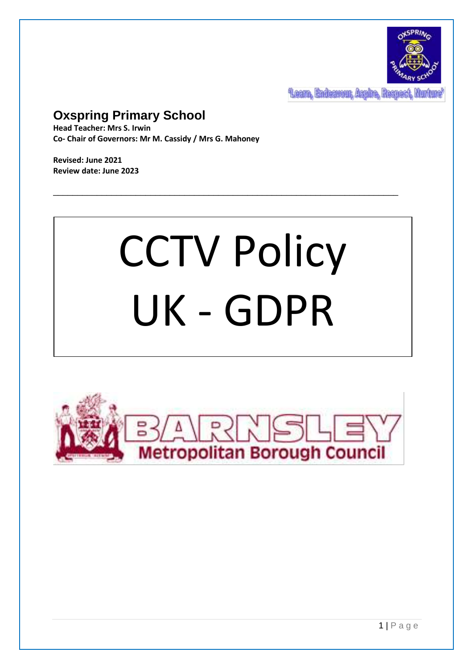

**Team, Endeavour, Aspire, Respect, Nur** 

# **Oxspring Primary School**

**Head Teacher: Mrs S. Irwin Co- Chair of Governors: Mr M. Cassidy / Mrs G. Mahoney**

**Revised: June 2021 Review date: June 2023**

# CCTV Policy UK - GDPR

\_\_\_\_\_\_\_\_\_\_\_\_\_\_\_\_\_\_\_\_\_\_\_\_\_\_\_\_\_\_\_\_\_\_\_\_\_\_\_\_\_\_\_\_\_\_\_\_\_\_\_\_\_\_\_\_\_\_\_\_\_\_\_\_\_\_\_\_\_\_\_

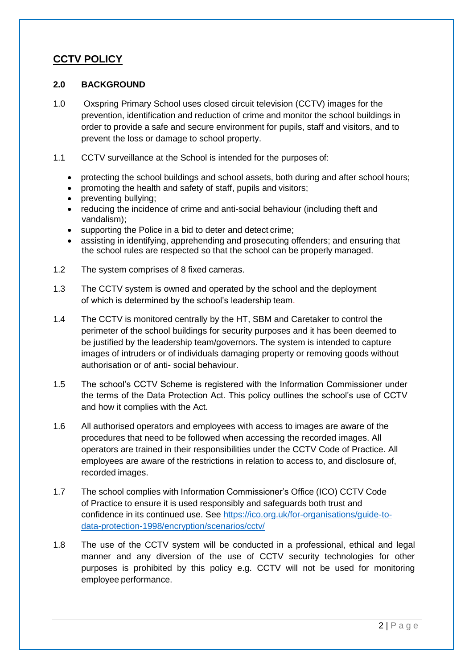## **CCTV POLICY**

#### **2.0 BACKGROUND**

- 1.0 Oxspring Primary School uses closed circuit television (CCTV) images for the prevention, identification and reduction of crime and monitor the school buildings in order to provide a safe and secure environment for pupils, staff and visitors, and to prevent the loss or damage to school property.
- 1.1 CCTV surveillance at the School is intended for the purposes of:
	- protecting the school buildings and school assets, both during and after school hours;
	- promoting the health and safety of staff, pupils and visitors;
	- preventing bullying;
	- reducing the incidence of crime and anti-social behaviour (including theft and vandalism);
	- supporting the Police in a bid to deter and detect crime;
	- assisting in identifying, apprehending and prosecuting offenders; and ensuring that the school rules are respected so that the school can be properly managed.
- 1.2 The system comprises of 8 fixed cameras.
- 1.3 The CCTV system is owned and operated by the school and the deployment of which is determined by the school's leadership team.
- 1.4 The CCTV is monitored centrally by the HT, SBM and Caretaker to control the perimeter of the school buildings for security purposes and it has been deemed to be justified by the leadership team/governors. The system is intended to capture images of intruders or of individuals damaging property or removing goods without authorisation or of anti- social behaviour.
- 1.5 The school's CCTV Scheme is registered with the Information Commissioner under the terms of the Data Protection Act. This policy outlines the school's use of CCTV and how it complies with the Act.
- 1.6 All authorised operators and employees with access to images are aware of the procedures that need to be followed when accessing the recorded images. All operators are trained in their responsibilities under the CCTV Code of Practice. All employees are aware of the restrictions in relation to access to, and disclosure of, recorded images.
- 1.7 The school complies with Information Commissioner's Office (ICO) CCTV Code of Practice to ensure it is used responsibly and safeguards both trust and confidence in its continued use. See [https://ico.org.uk/for-organisations/guide-to](https://ico.org.uk/for-organisations/guide-to-data-protection-1998/encryption/scenarios/cctv/)[data-protection-1998/encryption/scenarios/cctv/](https://ico.org.uk/for-organisations/guide-to-data-protection-1998/encryption/scenarios/cctv/)
- 1.8 The use of the CCTV system will be conducted in a professional, ethical and legal manner and any diversion of the use of CCTV security technologies for other purposes is prohibited by this policy e.g. CCTV will not be used for monitoring employee performance.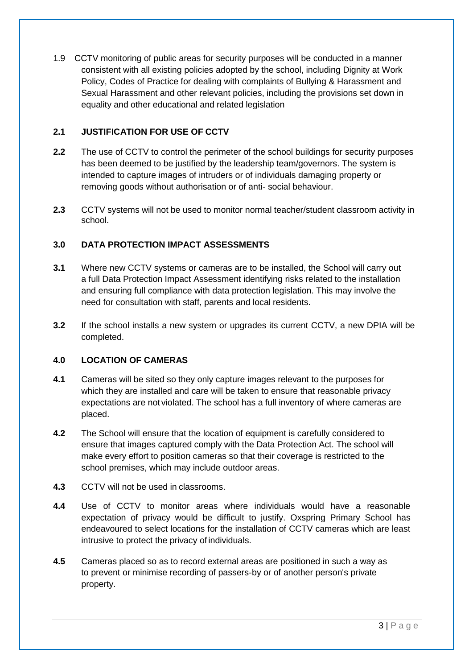1.9 CCTV monitoring of public areas for security purposes will be conducted in a manner consistent with all existing policies adopted by the school, including Dignity at Work Policy, Codes of Practice for dealing with complaints of Bullying & Harassment and Sexual Harassment and other relevant policies, including the provisions set down in equality and other educational and related legislation

#### **2.1 JUSTIFICATION FOR USE OF CCTV**

- **2.2** The use of CCTV to control the perimeter of the school buildings for security purposes has been deemed to be justified by the leadership team/governors. The system is intended to capture images of intruders or of individuals damaging property or removing goods without authorisation or of anti- social behaviour.
- **2.3** CCTV systems will not be used to monitor normal teacher/student classroom activity in school.

#### **3.0 DATA PROTECTION IMPACT ASSESSMENTS**

- **3.1** Where new CCTV systems or cameras are to be installed, the School will carry out a full Data Protection Impact Assessment identifying risks related to the installation and ensuring full compliance with data protection legislation. This may involve the need for consultation with staff, parents and local residents.
- **3.2** If the school installs a new system or upgrades its current CCTV, a new DPIA will be completed.

#### **4.0 LOCATION OF CAMERAS**

- **4.1** Cameras will be sited so they only capture images relevant to the purposes for which they are installed and care will be taken to ensure that reasonable privacy expectations are not violated. The school has a full inventory of where cameras are placed.
- **4.2** The School will ensure that the location of equipment is carefully considered to ensure that images captured comply with the Data Protection Act. The school will make every effort to position cameras so that their coverage is restricted to the school premises, which may include outdoor areas.
- **4.3** CCTV will not be used in classrooms.
- **4.4** Use of CCTV to monitor areas where individuals would have a reasonable expectation of privacy would be difficult to justify. Oxspring Primary School has endeavoured to select locations for the installation of CCTV cameras which are least intrusive to protect the privacy of individuals.
- **4.5** Cameras placed so as to record external areas are positioned in such a way as to prevent or minimise recording of passers-by or of another person's private property.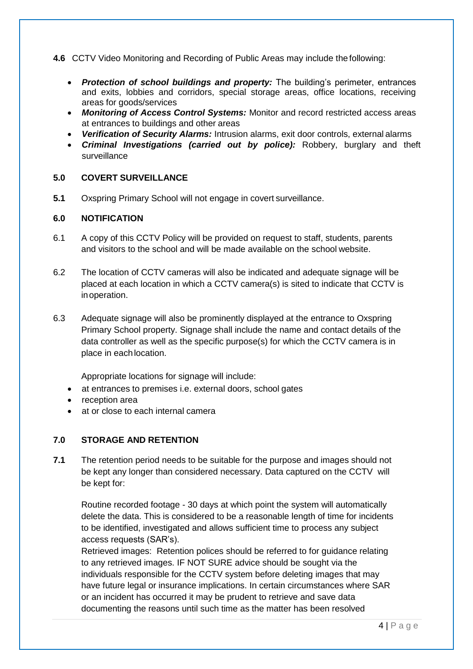**4.6** CCTV Video Monitoring and Recording of Public Areas may include the following:

- *Protection of school buildings and property:* The building's perimeter, entrances and exits, lobbies and corridors, special storage areas, office locations, receiving areas for goods/services
- *Monitoring of Access Control Systems:* Monitor and record restricted access areas at entrances to buildings and other areas
- *Verification of Security Alarms:* Intrusion alarms, exit door controls, external alarms
- *Criminal Investigations (carried out by police):* Robbery, burglary and theft surveillance

#### **5.0 COVERT SURVEILLANCE**

**5.1** Oxspring Primary School will not engage in covert surveillance.

#### **6.0 NOTIFICATION**

- 6.1 A copy of this CCTV Policy will be provided on request to staff, students, parents and visitors to the school and will be made available on the school website.
- 6.2 The location of CCTV cameras will also be indicated and adequate signage will be placed at each location in which a CCTV camera(s) is sited to indicate that CCTV is inoperation.
- 6.3 Adequate signage will also be prominently displayed at the entrance to Oxspring Primary School property. Signage shall include the name and contact details of the data controller as well as the specific purpose(s) for which the CCTV camera is in place in eachlocation.

Appropriate locations for signage will include:

- at entrances to premises i.e. external doors, school gates
- reception area
- at or close to each internal camera

#### **7.0 STORAGE AND RETENTION**

**7.1** The retention period needs to be suitable for the purpose and images should not be kept any longer than considered necessary. Data captured on the CCTV will be kept for:

Routine recorded footage - 30 days at which point the system will automatically delete the data. This is considered to be a reasonable length of time for incidents to be identified, investigated and allows sufficient time to process any subject access requests (SAR's).

Retrieved images: Retention polices should be referred to for guidance relating to any retrieved images. IF NOT SURE advice should be sought via the individuals responsible for the CCTV system before deleting images that may have future legal or insurance implications. In certain circumstances where SAR or an incident has occurred it may be prudent to retrieve and save data documenting the reasons until such time as the matter has been resolved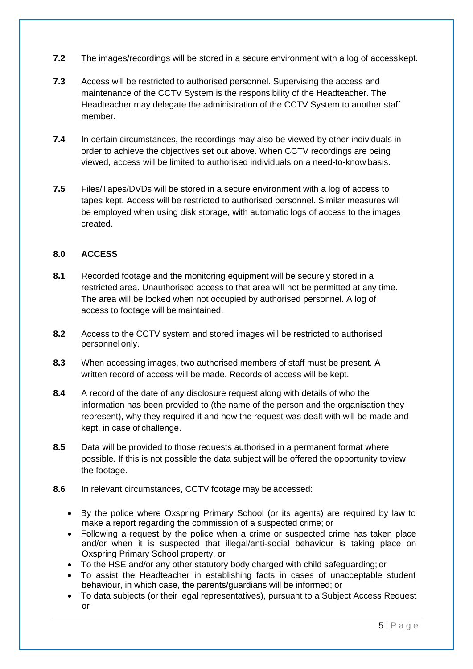- **7.2** The images/recordings will be stored in a secure environment with a log of access kept.
- **7.3** Access will be restricted to authorised personnel. Supervising the access and maintenance of the CCTV System is the responsibility of the Headteacher. The Headteacher may delegate the administration of the CCTV System to another staff member.
- **7.4** In certain circumstances, the recordings may also be viewed by other individuals in order to achieve the objectives set out above. When CCTV recordings are being viewed, access will be limited to authorised individuals on a need-to-know basis.
- **7.5** Files/Tapes/DVDs will be stored in a secure environment with a log of access to tapes kept. Access will be restricted to authorised personnel. Similar measures will be employed when using disk storage, with automatic logs of access to the images created.

#### **8.0 ACCESS**

- **8.1** Recorded footage and the monitoring equipment will be securely stored in a restricted area. Unauthorised access to that area will not be permitted at any time. The area will be locked when not occupied by authorised personnel. A log of access to footage will be maintained.
- **8.2** Access to the CCTV system and stored images will be restricted to authorised personnel only.
- **8.3** When accessing images, two authorised members of staff must be present. A written record of access will be made. Records of access will be kept.
- **8.4** A record of the date of any disclosure request along with details of who the information has been provided to (the name of the person and the organisation they represent), why they required it and how the request was dealt with will be made and kept, in case of challenge.
- **8.5** Data will be provided to those requests authorised in a permanent format where possible. If this is not possible the data subject will be offered the opportunity toview the footage.
- **8.6** In relevant circumstances, CCTV footage may be accessed:
	- By the police where Oxspring Primary School (or its agents) are required by law to make a report regarding the commission of a suspected crime; or
	- Following a request by the police when a crime or suspected crime has taken place and/or when it is suspected that illegal/anti-social behaviour is taking place on Oxspring Primary School property, or
	- To the HSE and/or any other statutory body charged with child safeguarding; or
	- To assist the Headteacher in establishing facts in cases of unacceptable student behaviour, in which case, the parents/guardians will be informed; or
	- To data subjects (or their legal representatives), pursuant to a Subject Access Request or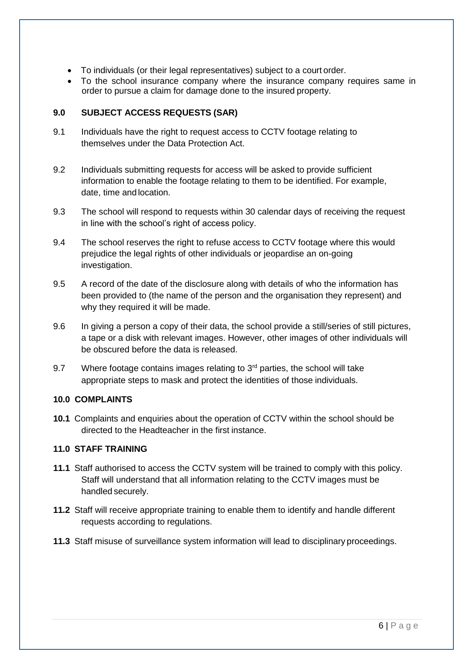- To individuals (or their legal representatives) subject to a court order.
- To the school insurance company where the insurance company requires same in order to pursue a claim for damage done to the insured property.

#### **9.0 SUBJECT ACCESS REQUESTS (SAR)**

- 9.1 Individuals have the right to request access to CCTV footage relating to themselves under the Data Protection Act.
- 9.2 Individuals submitting requests for access will be asked to provide sufficient information to enable the footage relating to them to be identified. For example, date, time and location.
- 9.3 The school will respond to requests within 30 calendar days of receiving the request in line with the school's right of access policy.
- 9.4 The school reserves the right to refuse access to CCTV footage where this would prejudice the legal rights of other individuals or jeopardise an on-going investigation.
- 9.5 A record of the date of the disclosure along with details of who the information has been provided to (the name of the person and the organisation they represent) and why they required it will be made.
- 9.6 In giving a person a copy of their data, the school provide a still/series of still pictures, a tape or a disk with relevant images. However, other images of other individuals will be obscured before the data is released.
- 9.7 Where footage contains images relating to  $3<sup>rd</sup>$  parties, the school will take appropriate steps to mask and protect the identities of those individuals.

#### **10.0 COMPLAINTS**

**10.1** Complaints and enquiries about the operation of CCTV within the school should be directed to the Headteacher in the first instance.

#### **11.0 STAFF TRAINING**

- **11.1** Staff authorised to access the CCTV system will be trained to comply with this policy. Staff will understand that all information relating to the CCTV images must be handled securely.
- **11.2** Staff will receive appropriate training to enable them to identify and handle different requests according to regulations.
- **11.3** Staff misuse of surveillance system information will lead to disciplinary proceedings.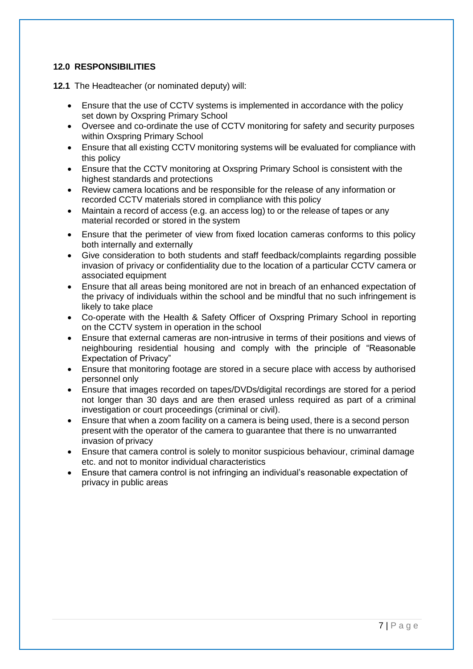#### **12.0 RESPONSIBILITIES**

**12.1** The Headteacher (or nominated deputy) will:

- Ensure that the use of CCTV systems is implemented in accordance with the policy set down by Oxspring Primary School
- Oversee and co-ordinate the use of CCTV monitoring for safety and security purposes within Oxspring Primary School
- Ensure that all existing CCTV monitoring systems will be evaluated for compliance with this policy
- Ensure that the CCTV monitoring at Oxspring Primary School is consistent with the highest standards and protections
- Review camera locations and be responsible for the release of any information or recorded CCTV materials stored in compliance with this policy
- Maintain a record of access (e.g. an access log) to or the release of tapes or any material recorded or stored in the system
- Ensure that the perimeter of view from fixed location cameras conforms to this policy both internally and externally
- Give consideration to both students and staff feedback/complaints regarding possible invasion of privacy or confidentiality due to the location of a particular CCTV camera or associated equipment
- Ensure that all areas being monitored are not in breach of an enhanced expectation of the privacy of individuals within the school and be mindful that no such infringement is likely to take place
- Co-operate with the Health & Safety Officer of Oxspring Primary School in reporting on the CCTV system in operation in the school
- Ensure that external cameras are non-intrusive in terms of their positions and views of neighbouring residential housing and comply with the principle of "Reasonable Expectation of Privacy"
- Ensure that monitoring footage are stored in a secure place with access by authorised personnel only
- Ensure that images recorded on tapes/DVDs/digital recordings are stored for a period not longer than 30 days and are then erased unless required as part of a criminal investigation or court proceedings (criminal or civil).
- Ensure that when a zoom facility on a camera is being used, there is a second person present with the operator of the camera to guarantee that there is no unwarranted invasion of privacy
- Ensure that camera control is solely to monitor suspicious behaviour, criminal damage etc. and not to monitor individual characteristics
- Ensure that camera control is not infringing an individual's reasonable expectation of privacy in public areas